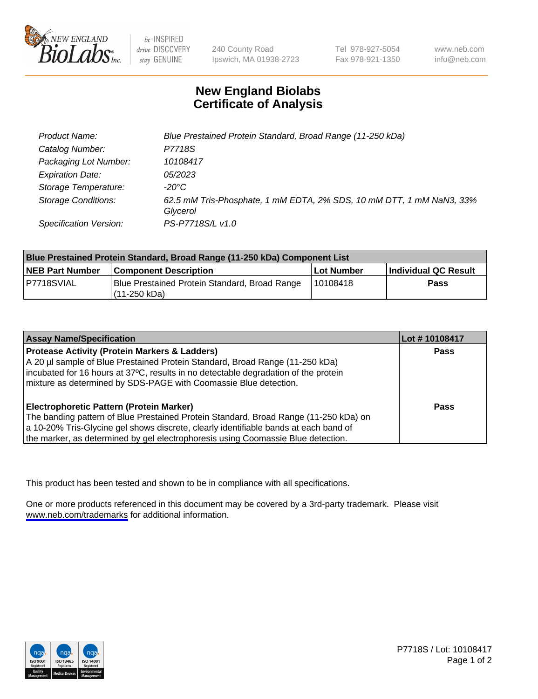

be INSPIRED drive DISCOVERY stay GENUINE

240 County Road Ipswich, MA 01938-2723 Tel 978-927-5054 Fax 978-921-1350

www.neb.com info@neb.com

## **New England Biolabs Certificate of Analysis**

| Product Name:              | Blue Prestained Protein Standard, Broad Range (11-250 kDa)                       |
|----------------------------|----------------------------------------------------------------------------------|
| Catalog Number:            | P7718S                                                                           |
| Packaging Lot Number:      | 10108417                                                                         |
| <b>Expiration Date:</b>    | <i>05/2023</i>                                                                   |
| Storage Temperature:       | -20°C                                                                            |
| <b>Storage Conditions:</b> | 62.5 mM Tris-Phosphate, 1 mM EDTA, 2% SDS, 10 mM DTT, 1 mM NaN3, 33%<br>Glycerol |
| Specification Version:     | PS-P7718S/L v1.0                                                                 |

| <b>Blue Prestained Protein Standard, Broad Range (11-250 kDa) Component List</b> |                                                                 |              |                      |  |
|----------------------------------------------------------------------------------|-----------------------------------------------------------------|--------------|----------------------|--|
| <b>NEB Part Number</b>                                                           | <b>Component Description</b>                                    | l Lot Number | Individual QC Result |  |
| P7718SVIAL                                                                       | Blue Prestained Protein Standard, Broad Range<br>l (11-250 kDa) | 110108418    | <b>Pass</b>          |  |

| <b>Assay Name/Specification</b>                                                      | Lot #10108417 |
|--------------------------------------------------------------------------------------|---------------|
| <b>Protease Activity (Protein Markers &amp; Ladders)</b>                             | <b>Pass</b>   |
| A 20 µl sample of Blue Prestained Protein Standard, Broad Range (11-250 kDa)         |               |
| incubated for 16 hours at 37°C, results in no detectable degradation of the protein  |               |
| mixture as determined by SDS-PAGE with Coomassie Blue detection.                     |               |
| <b>Electrophoretic Pattern (Protein Marker)</b>                                      | <b>Pass</b>   |
|                                                                                      |               |
| The banding pattern of Blue Prestained Protein Standard, Broad Range (11-250 kDa) on |               |
| a 10-20% Tris-Glycine gel shows discrete, clearly identifiable bands at each band of |               |
| the marker, as determined by gel electrophoresis using Coomassie Blue detection.     |               |

This product has been tested and shown to be in compliance with all specifications.

One or more products referenced in this document may be covered by a 3rd-party trademark. Please visit <www.neb.com/trademarks>for additional information.